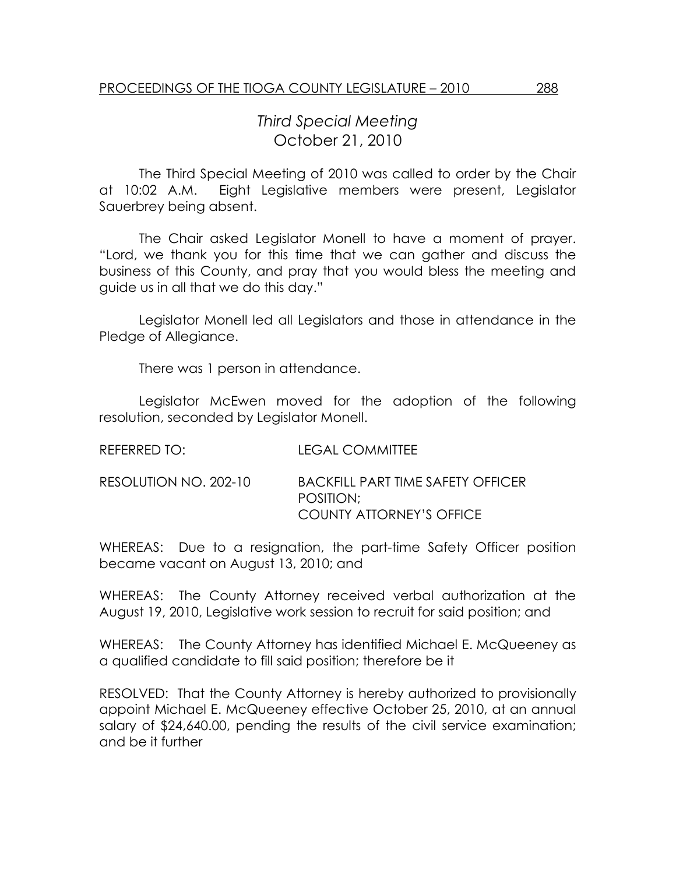## Third Special Meeting October 21, 2010

 The Third Special Meeting of 2010 was called to order by the Chair at 10:02 A.M. Eight Legislative members were present, Legislator Sauerbrey being absent.

The Chair asked Legislator Monell to have a moment of prayer. "Lord, we thank you for this time that we can gather and discuss the business of this County, and pray that you would bless the meeting and guide us in all that we do this day."

 Legislator Monell led all Legislators and those in attendance in the Pledge of Allegiance.

There was 1 person in attendance.

 Legislator McEwen moved for the adoption of the following resolution, seconded by Legislator Monell.

| REFERRED TO:          | <b>LEGAL COMMITTEE</b>                                                            |
|-----------------------|-----------------------------------------------------------------------------------|
| RESOLUTION NO. 202-10 | <b>BACKFILL PART TIME SAFETY OFFICER</b><br>POSITION:<br>COUNTY ATTORNEY'S OFFICE |

WHEREAS: Due to a resignation, the part-time Safety Officer position became vacant on August 13, 2010; and

WHEREAS: The County Attorney received verbal authorization at the August 19, 2010, Legislative work session to recruit for said position; and

WHEREAS: The County Attorney has identified Michael E. McQueeney as a qualified candidate to fill said position; therefore be it

RESOLVED: That the County Attorney is hereby authorized to provisionally appoint Michael E. McQueeney effective October 25, 2010, at an annual salary of \$24,640.00, pending the results of the civil service examination; and be it further